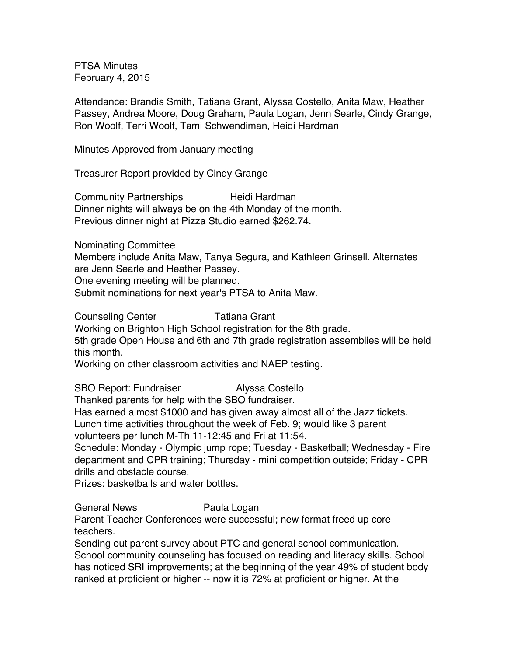PTSA Minutes February 4, 2015

Attendance: Brandis Smith, Tatiana Grant, Alyssa Costello, Anita Maw, Heather Passey, Andrea Moore, Doug Graham, Paula Logan, Jenn Searle, Cindy Grange, Ron Woolf, Terri Woolf, Tami Schwendiman, Heidi Hardman

Minutes Approved from January meeting

Treasurer Report provided by Cindy Grange

Community Partnerships Heidi Hardman Dinner nights will always be on the 4th Monday of the month. Previous dinner night at Pizza Studio earned \$262.74.

Nominating Committee Members include Anita Maw, Tanya Segura, and Kathleen Grinsell. Alternates are Jenn Searle and Heather Passey. One evening meeting will be planned. Submit nominations for next year's PTSA to Anita Maw.

Counseling Center **Tatiana Grant** Working on Brighton High School registration for the 8th grade. 5th grade Open House and 6th and 7th grade registration assemblies will be held this month.

Working on other classroom activities and NAEP testing.

SBO Report: Fundraiser **Alyssa Costello** 

Thanked parents for help with the SBO fundraiser.

Has earned almost \$1000 and has given away almost all of the Jazz tickets.

Lunch time activities throughout the week of Feb. 9; would like 3 parent

volunteers per lunch M-Th 11-12:45 and Fri at 11:54.

Schedule: Monday - Olympic jump rope; Tuesday - Basketball; Wednesday - Fire department and CPR training; Thursday - mini competition outside; Friday - CPR drills and obstacle course.

Prizes: basketballs and water bottles.

General News **Paula Logan** 

Parent Teacher Conferences were successful; new format freed up core teachers.

Sending out parent survey about PTC and general school communication. School community counseling has focused on reading and literacy skills. School has noticed SRI improvements; at the beginning of the year 49% of student body ranked at proficient or higher -- now it is 72% at proficient or higher. At the